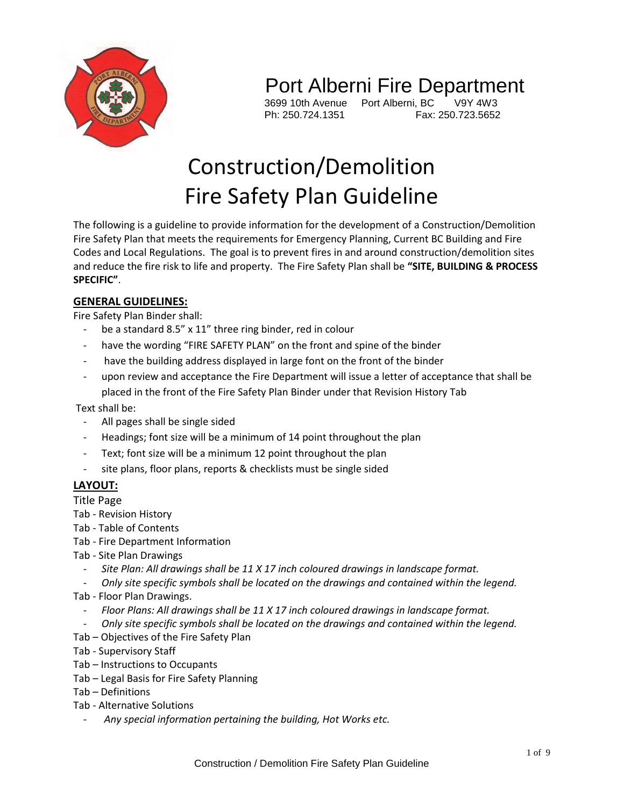

## Port Alberni Fire Department

Ph: 250.724.1351

3699 10th Avenue Port Alberni, BC V9Y 4W3

# Construction/Demolition Fire Safety Plan Guideline

The following is a guideline to provide information for the development of a Construction/Demolition Fire Safety Plan that meets the requirements for Emergency Planning, Current BC Building and Fire Codes and Local Regulations. The goal is to prevent fires in and around construction/demolition sites and reduce the fire risk to life and property. The Fire Safety Plan shall be **"SITE, BUILDING & PROCESS SPECIFIC"**.

#### **GENERAL GUIDELINES:**

Fire Safety Plan Binder shall:

- be a standard 8.5" x 11" three ring binder, red in colour
- have the wording "FIRE SAFETY PLAN" on the front and spine of the binder
- have the building address displayed in large font on the front of the binder
- upon review and acceptance the Fire Department will issue a letter of acceptance that shall be placed in the front of the Fire Safety Plan Binder under that Revision History Tab

Text shall be:

- All pages shall be single sided
- Headings; font size will be a minimum of 14 point throughout the plan
- Text; font size will be a minimum 12 point throughout the plan
- site plans, floor plans, reports & checklists must be single sided

### **LAYOUT:**

Title Page

- Tab Revision History
- Tab Table of Contents
- Tab Fire Department Information
- Tab Site Plan Drawings
	- *Site Plan: All drawings shall be 11 X 17 inch coloured drawings in landscape format.*
	- *Only site specific symbols shall be located on the drawings and contained within the legend.*
- Tab Floor Plan Drawings.
	- *Floor Plans: All drawings shall be 11 X 17 inch coloured drawings in landscape format.*
	- *Only site specific symbols shall be located on the drawings and contained within the legend.*
- Tab Objectives of the Fire Safety Plan
- Tab Supervisory Staff
- Tab Instructions to Occupants
- Tab Legal Basis for Fire Safety Planning
- Tab Definitions
- Tab Alternative Solutions
	- *Any special information pertaining the building, Hot Works etc.*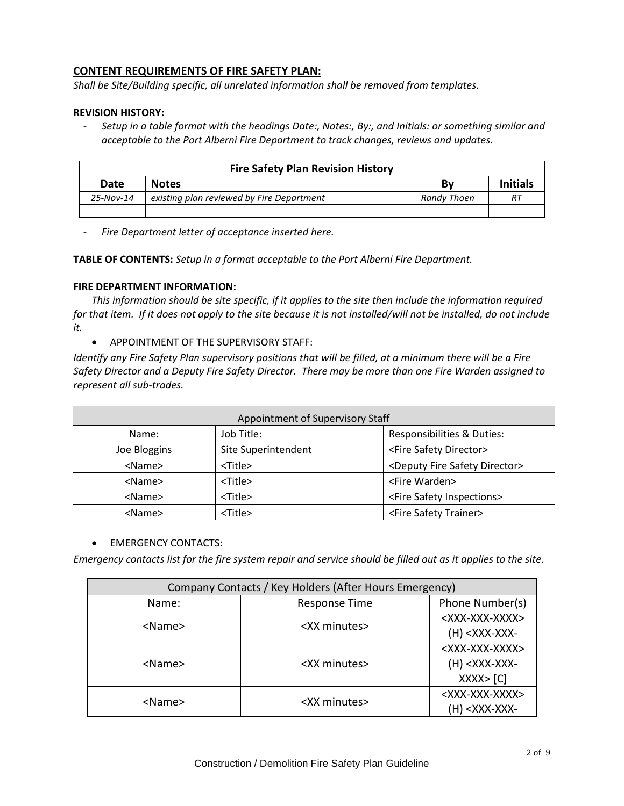#### **CONTENT REQUIREMENTS OF FIRE SAFETY PLAN:**

*Shall be Site/Building specific, all unrelated information shall be removed from templates.*

#### **REVISION HISTORY:**

- *Setup in a table format with the headings Date:, Notes:, By:, and Initials: or something similar and acceptable to the Port Alberni Fire Department to track changes, reviews and updates.*

| <b>Fire Safety Plan Revision History</b> |                                           |             |                 |  |  |
|------------------------------------------|-------------------------------------------|-------------|-----------------|--|--|
| Date                                     | <b>Notes</b>                              | Bv          | <b>Initials</b> |  |  |
| $25 - Nov-14$                            | existing plan reviewed by Fire Department | Randy Thoen | R7              |  |  |
|                                          |                                           |             |                 |  |  |

- *Fire Department letter of acceptance inserted here.*

**TABLE OF CONTENTS:** *Setup in a format acceptable to the Port Alberni Fire Department.*

#### **FIRE DEPARTMENT INFORMATION:**

*This information should be site specific, if it applies to the site then include the information required for that item. If it does not apply to the site because it is not installed/will not be installed, do not include it.*

APPOINTMENT OF THE SUPERVISORY STAFF:

*Identify any Fire Safety Plan supervisory positions that will be filled, at a minimum there will be a Fire Safety Director and a Deputy Fire Safety Director. There may be more than one Fire Warden assigned to represent all sub-trades.*

| Appointment of Supervisory Staff |                     |                                                 |  |  |
|----------------------------------|---------------------|-------------------------------------------------|--|--|
| Name:                            | Job Title:          | Responsibilities & Duties:                      |  |  |
| Joe Bloggins                     | Site Superintendent | <fire director="" safety=""></fire>             |  |  |
| <name></name>                    | <title></title>     | <deputy director="" fire="" safety=""></deputy> |  |  |
| <name></name>                    | <title></title>     | <fire warden=""></fire>                         |  |  |
| <name></name>                    | <title></title>     | <fire inspections="" safety=""></fire>          |  |  |
| <name></name>                    | <title></title>     | <fire safety="" trainer=""></fire>              |  |  |

#### **•** EMERGENCY CONTACTS:

*Emergency contacts list for the fire system repair and service should be filled out as it applies to the site.* 

| Company Contacts / Key Holders (After Hours Emergency) |                      |                               |  |  |  |
|--------------------------------------------------------|----------------------|-------------------------------|--|--|--|
| Name:                                                  | <b>Response Time</b> | Phone Number(s)               |  |  |  |
|                                                        |                      | <xxx-xxx-xxxx></xxx-xxx-xxxx> |  |  |  |
| <name></name>                                          | <xx minutes=""></xx> | $(H) < XXX-XXX$               |  |  |  |
|                                                        |                      | <xxx-xxx-xxxx></xxx-xxx-xxxx> |  |  |  |
| <name></name>                                          | <xx minutes=""></xx> | $(H) < XXX-XXX$               |  |  |  |
|                                                        |                      | XXX >  C                      |  |  |  |
|                                                        |                      | <xxx-xxx-xxxx></xxx-xxx-xxxx> |  |  |  |
| <name></name>                                          | <xx minutes=""></xx> | <xxx-xxx-< td=""></xxx-xxx-<> |  |  |  |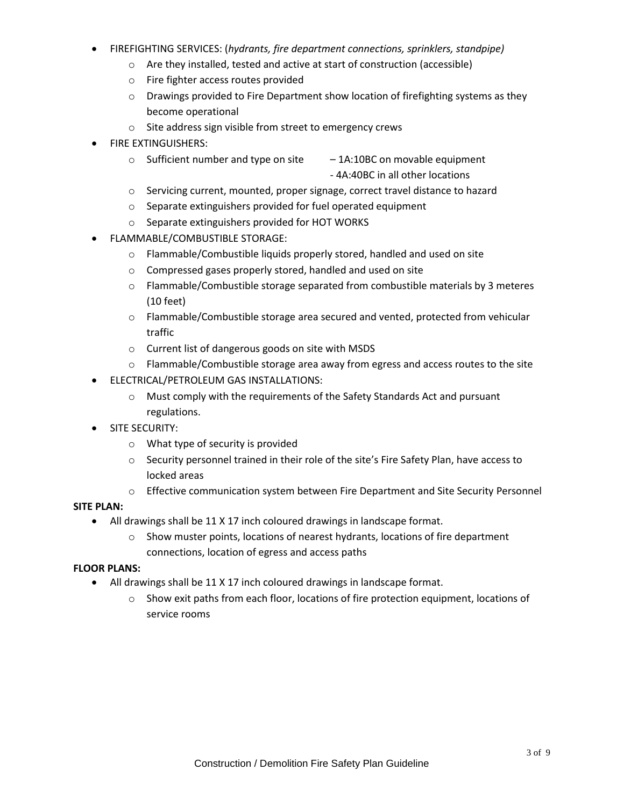- FIREFIGHTING SERVICES: (*hydrants, fire department connections, sprinklers, standpipe)*
	- o Are they installed, tested and active at start of construction (accessible)
	- o Fire fighter access routes provided
	- $\circ$  Drawings provided to Fire Department show location of firefighting systems as they become operational
	- o Site address sign visible from street to emergency crews
- FIRE EXTINGUISHERS:
	- $\circ$  Sufficient number and type on site  $-1$ A:10BC on movable equipment - 4A:40BC in all other locations
	- o Servicing current, mounted, proper signage, correct travel distance to hazard
	- o Separate extinguishers provided for fuel operated equipment
	- o Separate extinguishers provided for HOT WORKS
- FLAMMABLE/COMBUSTIBLE STORAGE:
	- o Flammable/Combustible liquids properly stored, handled and used on site
	- o Compressed gases properly stored, handled and used on site
	- $\circ$  Flammable/Combustible storage separated from combustible materials by 3 meteres (10 feet)
	- o Flammable/Combustible storage area secured and vented, protected from vehicular traffic
	- o Current list of dangerous goods on site with MSDS
	- $\circ$  Flammable/Combustible storage area away from egress and access routes to the site
- ELECTRICAL/PETROLEUM GAS INSTALLATIONS:
	- $\circ$  Must comply with the requirements of the Safety Standards Act and pursuant regulations.
- **•** SITE SECURITY:
	- o What type of security is provided
	- o Security personnel trained in their role of the site's Fire Safety Plan, have access to locked areas
	- o Effective communication system between Fire Department and Site Security Personnel

#### **SITE PLAN:**

- All drawings shall be 11 X 17 inch coloured drawings in landscape format.
	- $\circ$  Show muster points, locations of nearest hydrants, locations of fire department connections, location of egress and access paths

#### **FLOOR PLANS:**

- All drawings shall be 11 X 17 inch coloured drawings in landscape format.
	- $\circ$  Show exit paths from each floor, locations of fire protection equipment, locations of service rooms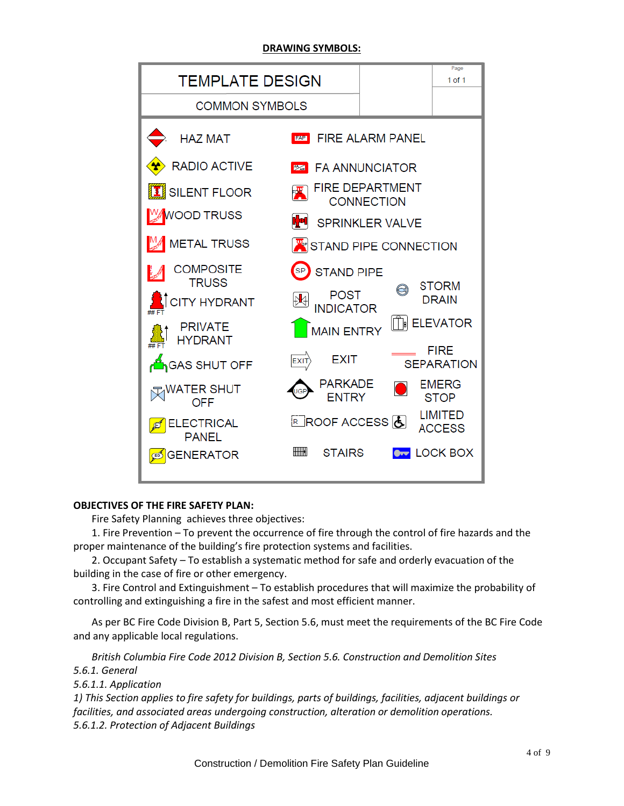#### **DRAWING SYMBOLS:**



#### **OBJECTIVES OF THE FIRE SAFETY PLAN:**

Fire Safety Planning achieves three objectives:

1. Fire Prevention – To prevent the occurrence of fire through the control of fire hazards and the proper maintenance of the building's fire protection systems and facilities.

2. Occupant Safety – To establish a systematic method for safe and orderly evacuation of the building in the case of fire or other emergency.

3. Fire Control and Extinguishment – To establish procedures that will maximize the probability of controlling and extinguishing a fire in the safest and most efficient manner.

As per BC Fire Code Division B, Part 5, Section 5.6, must meet the requirements of the BC Fire Code and any applicable local regulations.

*British Columbia Fire Code 2012 Division B, Section 5.6. Construction and Demolition Sites 5.6.1. General*

*5.6.1.1. Application*

*1) This Section applies to fire safety for buildings, parts of buildings, facilities, adjacent buildings or facilities, and associated areas undergoing construction, alteration or demolition operations. 5.6.1.2. Protection of Adjacent Buildings*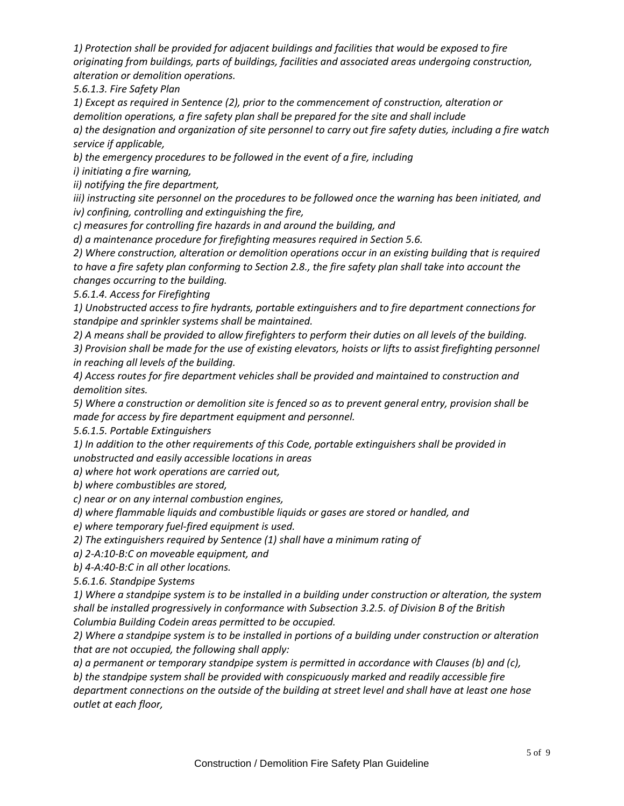*1) Protection shall be provided for adjacent buildings and facilities that would be exposed to fire originating from buildings, parts of buildings, facilities and associated areas undergoing construction, alteration or demolition operations.* 

*5.6.1.3. Fire Safety Plan*

*1) Except as required in Sentence (2), prior to the commencement of construction, alteration or demolition operations, a fire safety plan shall be prepared for the site and shall include*

*a) the designation and organization of site personnel to carry out fire safety duties, including a fire watch service if applicable,* 

*b) the emergency procedures to be followed in the event of a fire, including*

*i) initiating a fire warning,*

*ii) notifying the fire department,*

*iii) instructing site personnel on the procedures to be followed once the warning has been initiated, and iv) confining, controlling and extinguishing the fire,*

*c) measures for controlling fire hazards in and around the building, and* 

*d) a maintenance procedure for firefighting measures required in Section 5.6.*

*2) Where construction, alteration or demolition operations occur in an existing building that is required to have a fire safety plan conforming to Section 2.8., the fire safety plan shall take into account the changes occurring to the building.*

*5.6.1.4. Access for Firefighting*

*1) Unobstructed access to fire hydrants, portable extinguishers and to fire department connections for standpipe and sprinkler systems shall be maintained.* 

*2) A means shall be provided to allow firefighters to perform their duties on all levels of the building.* 

*3) Provision shall be made for the use of existing elevators, hoists or lifts to assist firefighting personnel in reaching all levels of the building.*

*4) Access routes for fire department vehicles shall be provided and maintained to construction and demolition sites.* 

*5) Where a construction or demolition site is fenced so as to prevent general entry, provision shall be made for access by fire department equipment and personnel.* 

*5.6.1.5. Portable Extinguishers*

*1) In addition to the other requirements of this Code, portable extinguishers shall be provided in unobstructed and easily accessible locations in areas*

*a) where hot work operations are carried out,* 

*b) where combustibles are stored,*

*c) near or on any internal combustion engines,*

*d) where flammable liquids and combustible liquids or gases are stored or handled, and* 

*e) where temporary fuel-fired equipment is used.* 

*2) The extinguishers required by Sentence (1) shall have a minimum rating of*

*a) 2-A:10-B:C on moveable equipment, and*

*b) 4-A:40-B:C in all other locations.*

*5.6.1.6. Standpipe Systems*

*1) Where a standpipe system is to be installed in a building under construction or alteration, the system shall be installed progressively in conformance with Subsection 3.2.5. of Division B of the British Columbia Building Codein areas permitted to be occupied.* 

*2) Where a standpipe system is to be installed in portions of a building under construction or alteration that are not occupied, the following shall apply:*

*a) a permanent or temporary standpipe system is permitted in accordance with Clauses (b) and (c),* 

*b) the standpipe system shall be provided with conspicuously marked and readily accessible fire department connections on the outside of the building at street level and shall have at least one hose outlet at each floor,*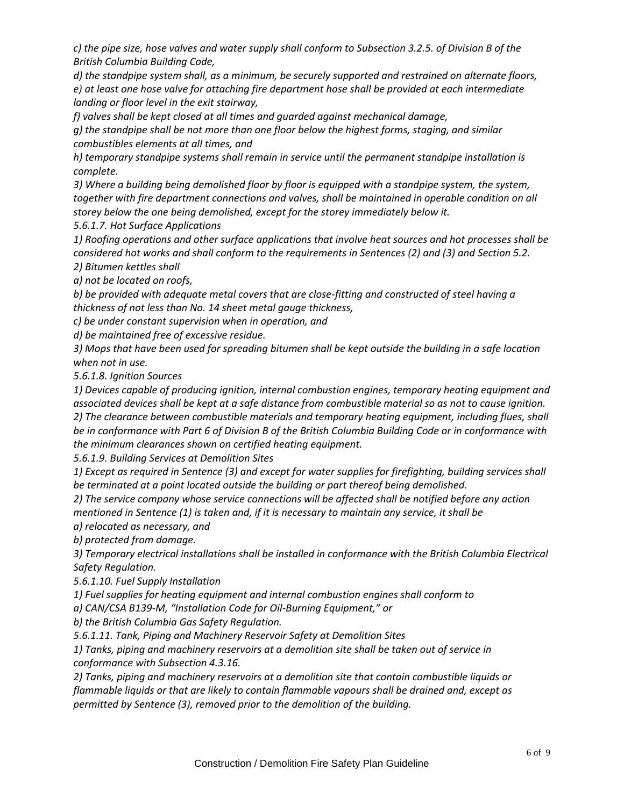*c) the pipe size, hose valves and water supply shall conform to Subsection 3.2.5. of Division B of the British Columbia Building Code,* 

*d) the standpipe system shall, as a minimum, be securely supported and restrained on alternate floors, e) at least one hose valve for attaching fire department hose shall be provided at each intermediate landing or floor level in the exit stairway,* 

*f) valves shall be kept closed at all times and guarded against mechanical damage,* 

*g) the standpipe shall be not more than one floor below the highest forms, staging, and similar combustibles elements at all times, and* 

*h) temporary standpipe systems shall remain in service until the permanent standpipe installation is complete.*

*3) Where a building being demolished floor by floor is equipped with a standpipe system, the system, together with fire department connections and valves, shall be maintained in operable condition on all storey below the one being demolished, except for the storey immediately below it.* 

*5.6.1.7. Hot Surface Applications*

*1) Roofing operations and other surface applications that involve heat sources and hot processes shall be considered hot works and shall conform to the requirements in Sentences (2) and (3) and Section 5.2. 2) Bitumen kettles shall*

*a) not be located on roofs,*

*b) be provided with adequate metal covers that are close-fitting and constructed of steel having a thickness of not less than No. 14 sheet metal gauge thickness,* 

*c) be under constant supervision when in operation, and*

*d) be maintained free of excessive residue.*

*3) Mops that have been used for spreading bitumen shall be kept outside the building in a safe location when not in use.*

*5.6.1.8. Ignition Sources*

*1) Devices capable of producing ignition, internal combustion engines, temporary heating equipment and associated devices shall be kept at a safe distance from combustible material so as not to cause ignition. 2) The clearance between combustible materials and temporary heating equipment, including flues, shall be in conformance with Part 6 of Division B of the British Columbia Building Code or in conformance with the minimum clearances shown on certified heating equipment.* 

*5.6.1.9. Building Services at Demolition Sites*

*1) Except as required in Sentence (3) and except for water supplies for firefighting, building services shall be terminated at a point located outside the building or part thereof being demolished.* 

*2) The service company whose service connections will be affected shall be notified before any action* 

*mentioned in Sentence (1) is taken and, if it is necessary to maintain any service, it shall be*

*a) relocated as necessary, and*

*b) protected from damage.*

*3) Temporary electrical installations shall be installed in conformance with the British Columbia Electrical Safety Regulation.* 

*5.6.1.10. Fuel Supply Installation*

*1) Fuel supplies for heating equipment and internal combustion engines shall conform to*

*a) CAN/CSA B139-M, "Installation Code for Oil-Burning Equipment," or* 

*b) the British Columbia Gas Safety Regulation.*

*5.6.1.11. Tank, Piping and Machinery Reservoir Safety at Demolition Sites* 

*1) Tanks, piping and machinery reservoirs at a demolition site shall be taken out of service in conformance with Subsection 4.3.16.*

*2) Tanks, piping and machinery reservoirs at a demolition site that contain combustible liquids or flammable liquids or that are likely to contain flammable vapours shall be drained and, except as permitted by Sentence (3), removed prior to the demolition of the building.*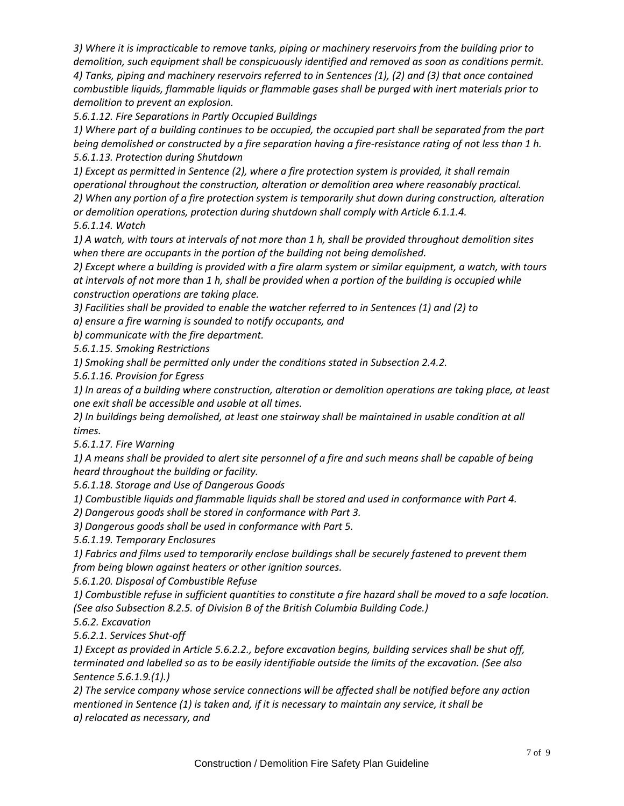*3) Where it is impracticable to remove tanks, piping or machinery reservoirs from the building prior to demolition, such equipment shall be conspicuously identified and removed as soon as conditions permit. 4) Tanks, piping and machinery reservoirs referred to in Sentences (1), (2) and (3) that once contained combustible liquids, flammable liquids or flammable gases shall be purged with inert materials prior to demolition to prevent an explosion.* 

*5.6.1.12. Fire Separations in Partly Occupied Buildings*

*1) Where part of a building continues to be occupied, the occupied part shall be separated from the part being demolished or constructed by a fire separation having a fire-resistance rating of not less than 1 h. 5.6.1.13. Protection during Shutdown* 

*1) Except as permitted in Sentence (2), where a fire protection system is provided, it shall remain operational throughout the construction, alteration or demolition area where reasonably practical. 2) When any portion of a fire protection system is temporarily shut down during construction, alteration or demolition operations, protection during shutdown shall comply with Article 6.1.1.4. 5.6.1.14. Watch*

*1) A watch, with tours at intervals of not more than 1 h, shall be provided throughout demolition sites when there are occupants in the portion of the building not being demolished.* 

*2) Except where a building is provided with a fire alarm system or similar equipment, a watch, with tours at intervals of not more than 1 h, shall be provided when a portion of the building is occupied while construction operations are taking place.* 

*3) Facilities shall be provided to enable the watcher referred to in Sentences (1) and (2) to*

*a) ensure a fire warning is sounded to notify occupants, and*

*b) communicate with the fire department.*

*5.6.1.15. Smoking Restrictions*

*1) Smoking shall be permitted only under the conditions stated in Subsection 2.4.2.*

*5.6.1.16. Provision for Egress*

*1) In areas of a building where construction, alteration or demolition operations are taking place, at least one exit shall be accessible and usable at all times.* 

*2) In buildings being demolished, at least one stairway shall be maintained in usable condition at all times.* 

*5.6.1.17. Fire Warning*

*1) A means shall be provided to alert site personnel of a fire and such means shall be capable of being heard throughout the building or facility.* 

*5.6.1.18. Storage and Use of Dangerous Goods*

*1) Combustible liquids and flammable liquids shall be stored and used in conformance with Part 4.* 

*2) Dangerous goods shall be stored in conformance with Part 3.*

*3) Dangerous goods shall be used in conformance with Part 5.*

*5.6.1.19. Temporary Enclosures*

*1) Fabrics and films used to temporarily enclose buildings shall be securely fastened to prevent them from being blown against heaters or other ignition sources.* 

*5.6.1.20. Disposal of Combustible Refuse*

*1) Combustible refuse in sufficient quantities to constitute a fire hazard shall be moved to a safe location. (See also Subsection 8.2.5. of Division B of the British Columbia Building Code.)* 

*5.6.2. Excavation*

*5.6.2.1. Services Shut-off*

*1) Except as provided in Article 5.6.2.2., before excavation begins, building services shall be shut off, terminated and labelled so as to be easily identifiable outside the limits of the excavation. (See also Sentence 5.6.1.9.(1).)*

*2) The service company whose service connections will be affected shall be notified before any action mentioned in Sentence (1) is taken and, if it is necessary to maintain any service, it shall be a) relocated as necessary, and*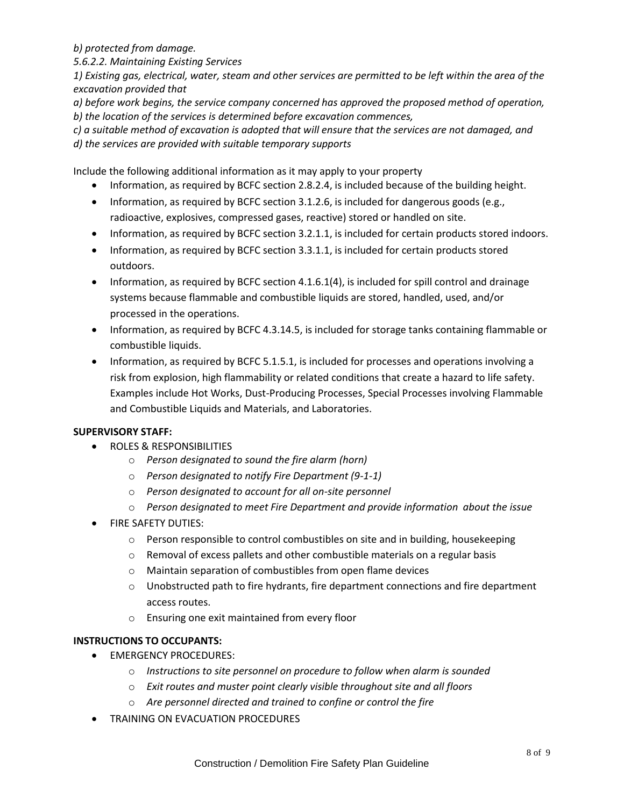*b) protected from damage.*

*5.6.2.2. Maintaining Existing Services*

*1) Existing gas, electrical, water, steam and other services are permitted to be left within the area of the excavation provided that*

*a) before work begins, the service company concerned has approved the proposed method of operation, b) the location of the services is determined before excavation commences,* 

*c) a suitable method of excavation is adopted that will ensure that the services are not damaged, and d) the services are provided with suitable temporary supports*

Include the following additional information as it may apply to your property

- Information, as required by BCFC section 2.8.2.4, is included because of the building height.
- $\bullet$  Information, as required by BCFC section 3.1.2.6, is included for dangerous goods (e.g., radioactive, explosives, compressed gases, reactive) stored or handled on site.
- Information, as required by BCFC section 3.2.1.1, is included for certain products stored indoors.
- Information, as required by BCFC section 3.3.1.1, is included for certain products stored outdoors.
- Information, as required by BCFC section 4.1.6.1(4), is included for spill control and drainage systems because flammable and combustible liquids are stored, handled, used, and/or processed in the operations.
- Information, as required by BCFC 4.3.14.5, is included for storage tanks containing flammable or combustible liquids.
- Information, as required by BCFC 5.1.5.1, is included for processes and operations involving a risk from explosion, high flammability or related conditions that create a hazard to life safety. Examples include Hot Works, Dust-Producing Processes, Special Processes involving Flammable and Combustible Liquids and Materials, and Laboratories.

#### **SUPERVISORY STAFF:**

- **ROLES & RESPONSIBILITIES** 
	- o *Person designated to sound the fire alarm (horn)*
	- o *Person designated to notify Fire Department (9-1-1)*
	- o *Person designated to account for all on-site personnel*
	- o *Person designated to meet Fire Department and provide information about the issue*
- **•** FIRE SAFETY DUTIES:
	- $\circ$  Person responsible to control combustibles on site and in building, housekeeping
	- o Removal of excess pallets and other combustible materials on a regular basis
	- o Maintain separation of combustibles from open flame devices
	- $\circ$  Unobstructed path to fire hydrants, fire department connections and fire department access routes.
	- o Ensuring one exit maintained from every floor

#### **INSTRUCTIONS TO OCCUPANTS:**

- **•** EMERGENCY PROCEDURES:
	- o *Instructions to site personnel on procedure to follow when alarm is sounded*
	- o *Exit routes and muster point clearly visible throughout site and all floors*
	- o *Are personnel directed and trained to confine or control the fire*
- **TRAINING ON EVACUATION PROCEDURES**